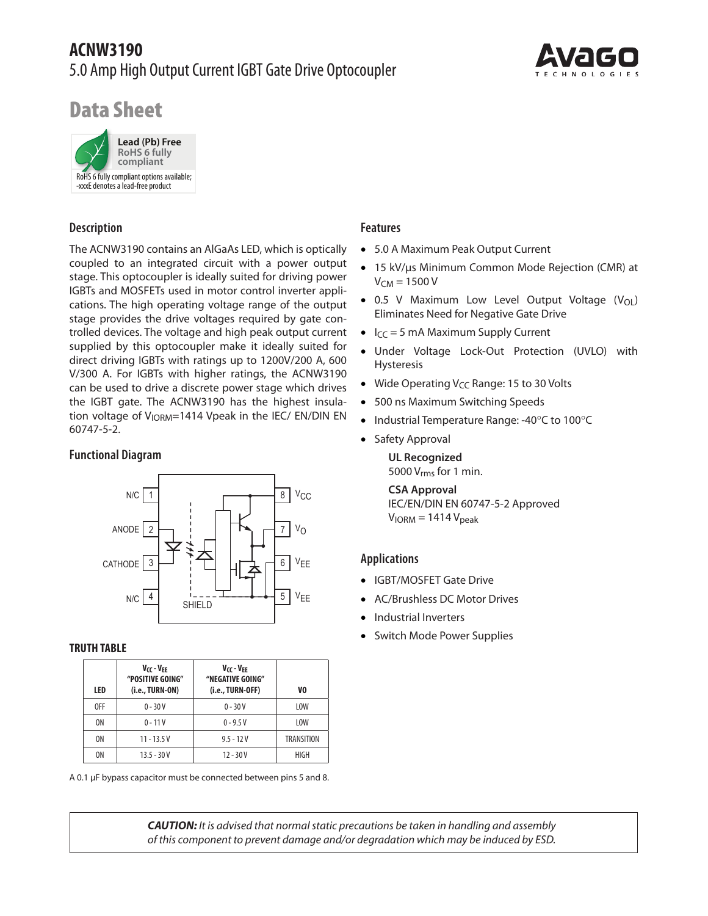# **ACNW3190** 5.0 Amp High Output Current IGBT Gate Drive Optocoupler



# Data Sheet



## **Description**

The ACNW3190 contains an AlGaAs LED, which is optically coupled to an integrated circuit with a power output stage. This optocoupler is ideally suited for driving power IGBTs and MOSFETs used in motor control inverter applications. The high operating voltage range of the output stage provides the drive voltages required by gate controlled devices. The voltage and high peak output current supplied by this optocoupler make it ideally suited for direct driving IGBTs with ratings up to 1200V/200 A, 600 V/300 A. For IGBTs with higher ratings, the ACNW3190 can be used to drive a discrete power stage which drives the IGBT gate. The ACNW3190 has the highest insulation voltage of V<sub>IORM</sub>=1414 Vpeak in the IEC/ EN/DIN EN 60747-5-2.

## **Functional Diagram**



#### **TRUTH TABLE**

| LED            | Vcc - Vff<br>"POSITIVE GOING"<br>(i.e., TURN-ON) | Vcc - VFF<br>"NEGATIVE GOING"<br>(i.e., TURN-OFF) | V <sub>0</sub> |
|----------------|--------------------------------------------------|---------------------------------------------------|----------------|
| 0FF            | $0 - 30V$                                        | $0 - 30V$                                         | LOW            |
| 0 <sub>N</sub> | $0 - 11V$                                        | $0 - 9.5 V$                                       | LOW            |
| 0 <sub>N</sub> | $11 - 13.5V$                                     | $9.5 - 12V$                                       | TRANSITION     |
| 0 <sub>N</sub> | $13.5 - 30V$                                     | $12 - 30V$                                        | HIGH           |

A 0.1 μF bypass capacitor must be connected between pins 5 and 8.

## **Features**

- 5.0 A Maximum Peak Output Current
- • 15 kV/µs Minimum Common Mode Rejection (CMR) at  $V_{CM}$  = 1500 V
- $\bullet$  0.5 V Maximum Low Level Output Voltage (V<sub>OL</sub>) Eliminates Need for Negative Gate Drive
- $I_{CC} = 5$  mA Maximum Supply Current
- • Under Voltage Lock-Out Protection (UVLO) with Hysteresis
- Wide Operating  $V_{CC}$  Range: 15 to 30 Volts
- 500 ns Maximum Switching Speeds
- Industrial Temperature Range: -40°C to 100°C
- Safety Approval

**UL Recognized** 5000  $V_{rms}$  for 1 min.

**CSA Approval** IEC/EN/DIN EN 60747-5-2 Approved  $V<sub>IORM</sub> = 1414 V<sub>peak</sub>$ 

## **Applications**

- • IGBT/MOSFET Gate Drive
- AC/Brushless DC Motor Drives
- Industrial Inverters
- Switch Mode Power Supplies

*CAUTION: It is advised that normal static precautions be taken in handling and assembly of this component to prevent damage and/or degradation which may be induced by ESD.*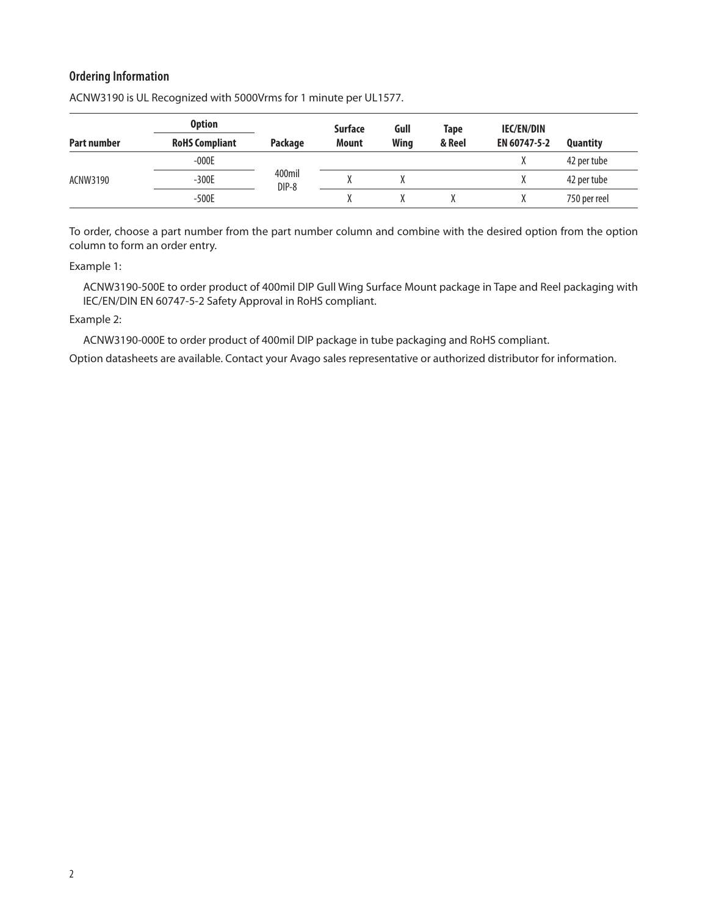## **Ordering Information**

|                    | <b>Option</b>         |                 | <b>Surface</b> | Gull        | Tape   | <b>IEC/EN/DIN</b> |                 |
|--------------------|-----------------------|-----------------|----------------|-------------|--------|-------------------|-----------------|
| <b>Part number</b> | <b>RoHS Compliant</b> | Package         | <b>Mount</b>   | <b>Wing</b> | & Reel | EN 60747-5-2      | <b>Quantity</b> |
|                    | $-000E$               |                 |                |             |        |                   | 42 per tube     |
| ACNW3190           | $-300E$               | 400mil<br>DIP-8 |                |             |        |                   | 42 per tube     |
|                    | $-500E$               |                 |                |             |        |                   | 750 per reel    |

ACNW3190 is UL Recognized with 5000Vrms for 1 minute per UL1577.

To order, choose a part number from the part number column and combine with the desired option from the option column to form an order entry.

Example 1:

ACNW3190-500E to order product of 400mil DIP Gull Wing Surface Mount package in Tape and Reel packaging with IEC/EN/DIN EN 60747-5-2 Safety Approval in RoHS compliant.

#### Example 2:

ACNW3190-000E to order product of 400mil DIP package in tube packaging and RoHS compliant.

Option datasheets are available. Contact your Avago sales representative or authorized distributor for information.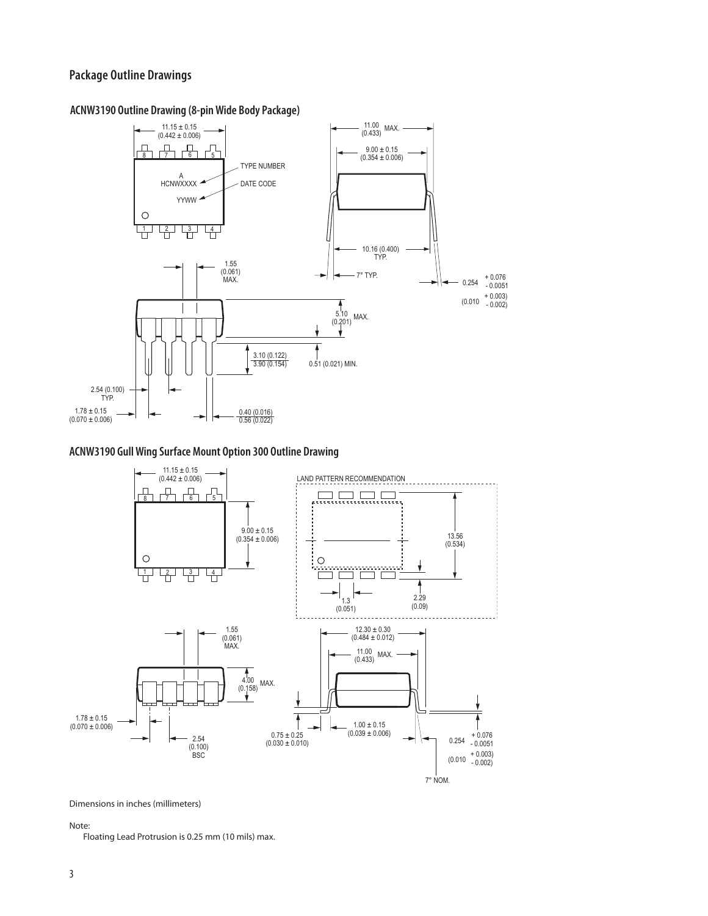## **Package Outline Drawings**

#### 11.00 (0.433) MAX.  $11.15 \pm 0.15$ <br>(0.442 ± 0.006) <u>n – 1 de la</u>  $9.00 \pm 0.15$  $(0.354 \pm 0.006)$ TYPE NUMBER A<br>HCNWXXXX DATE CODE YYWW  $\bigcirc$ <del>1</del> 년 년 10.16 (0.400) TYP. 1.55 (0.061)  $7^{\circ}$  TYP.  $\longrightarrow$   $\parallel$   $\longrightarrow$  0.254  $^{+0.076}_{-0.0051}$ MAX.  $(0.010 + 0.003)$ <br>(0.002) 5.10 (0.201) MAX. 3.10 (0.122) 3.90 (0.154) 0.51 (0.021) MIN. 2.54 (0.100) TYP.  $1.78 \pm 0.15$ 0.40 (0.016)  $(0.070 \pm 0.006)$ 0.56 (0.022)

#### **ACNW3190 Outline Drawing (8-pin Wide Body Package)**

### **ACNW3190 Gull Wing Surface Mount Option 300 Outline Drawing**



Dimensions in inches (millimeters)

Note:

Floating Lead Protrusion is 0.25 mm (10 mils) max.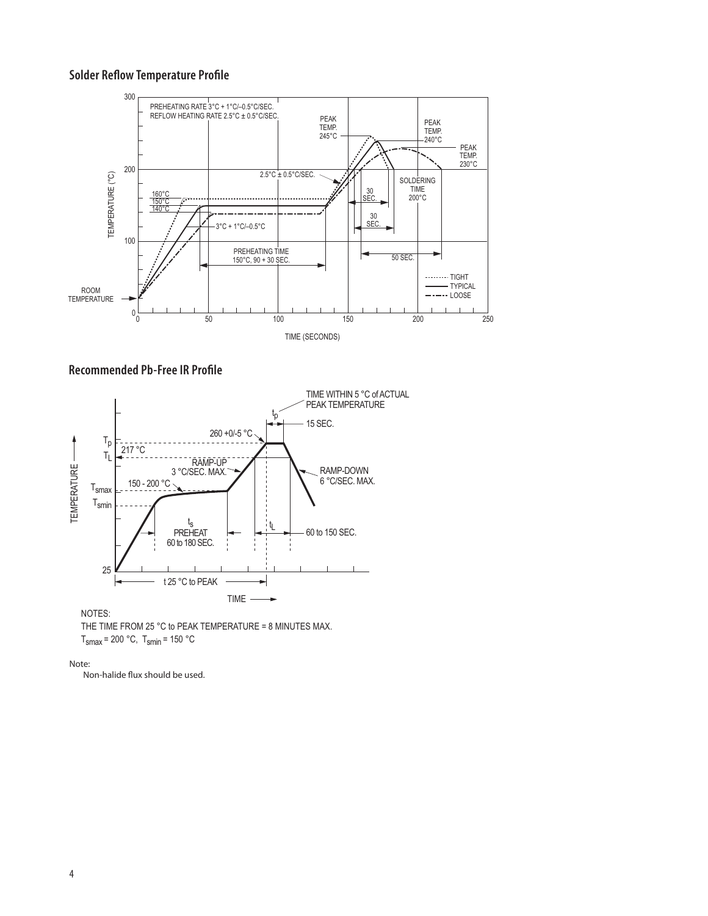## **Solder Reflow Temperature Profile**







NOTES:

THE TIME FROM 25 °C to PEAK TEMPERATURE = 8 MINUTES MAX.  $T<sub>smax</sub> = 200 °C$ ,  $T<sub>smin</sub> = 150 °C$ 

Note:

Non-halide flux should be used.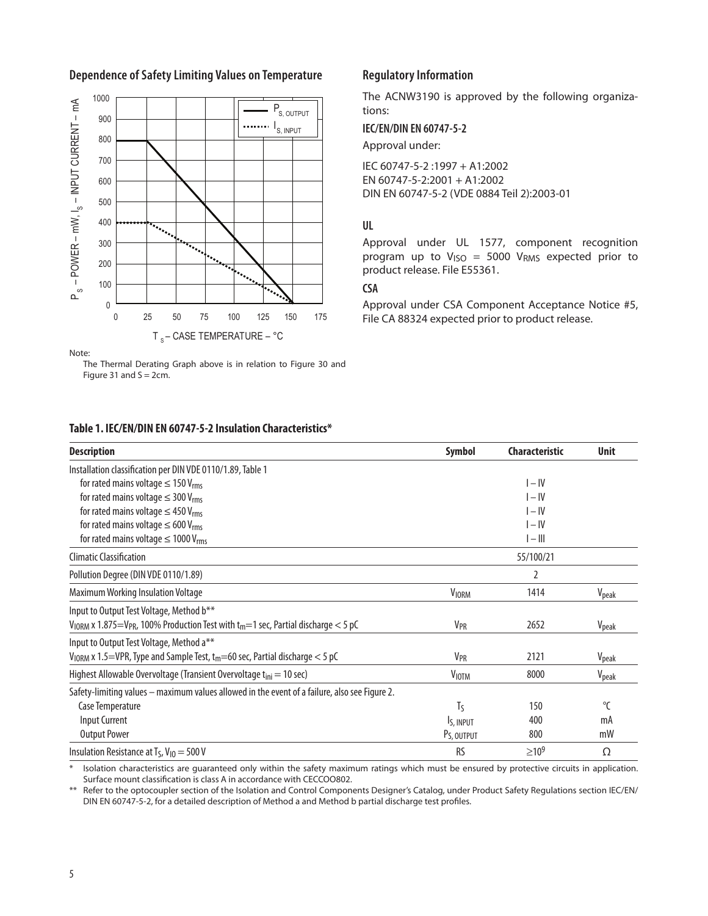

## Dependence of Safety Limiting Values on Temperature **Regulatory Information**

The ACNW3190 is approved by the following organizations:

**IEC/EN/DIN EN 60747-5-2**

Approval under:

IEC 60747-5-2 :1997 + A1:2002 EN 60747-5-2:2001 + A1:2002 DIN EN 60747-5-2 (VDE 0884 Teil 2):2003-01

## **UL**

Approval under UL 1577, component recognition program up to  $V_{ISO} = 5000 V_{RMS}$  expected prior to product release. File E55361.

## **CSA**

Approval under CSA Component Acceptance Notice #5, File CA 88324 expected prior to product release.

| Table 1. IEC/EN/DIN EN 60747-5-2 Insulation Characteristics*                                                         |                         |                       |                   |  |
|----------------------------------------------------------------------------------------------------------------------|-------------------------|-----------------------|-------------------|--|
| <b>Description</b>                                                                                                   | Symbol                  | <b>Characteristic</b> | <b>Unit</b>       |  |
| Installation classification per DIN VDE 0110/1.89, Table 1                                                           |                         |                       |                   |  |
| for rated mains voltage $\leq 150$ V <sub>rms</sub>                                                                  |                         | $I - IV$              |                   |  |
| for rated mains voltage $\leq$ 300 V <sub>rms</sub>                                                                  |                         | $I - IV$              |                   |  |
| for rated mains voltage $\leq$ 450 V <sub>rms</sub>                                                                  |                         | $I - IV$              |                   |  |
| for rated mains voltage $\leq 600$ V <sub>rms</sub>                                                                  |                         | $I - IV$              |                   |  |
| for rated mains voltage $\leq 1000$ V <sub>rms</sub>                                                                 |                         | $I - III$             |                   |  |
| <b>Climatic Classification</b>                                                                                       | 55/100/21               |                       |                   |  |
| Pollution Degree (DIN VDE 0110/1.89)                                                                                 |                         | 2                     |                   |  |
| Maximum Working Insulation Voltage                                                                                   | <b>VIORM</b>            | 1414                  | V <sub>peak</sub> |  |
| Input to Output Test Voltage, Method b**                                                                             |                         |                       |                   |  |
| $V_{\rm IORM}$ x 1.875=V <sub>PR</sub> , 100% Production Test with t <sub>m</sub> =1 sec, Partial discharge $<$ 5 pC | <b>V<sub>PR</sub></b>   | 2652                  | V <sub>peak</sub> |  |
| Input to Output Test Voltage, Method a**                                                                             |                         |                       |                   |  |
| $V_{\text{IORM}}$ x 1.5=VPR, Type and Sample Test, $t_m$ =60 sec, Partial discharge < 5 pC                           | <b>V<sub>PR</sub></b>   | 2121                  | V <sub>peak</sub> |  |
| Highest Allowable Overvoltage (Transient Overvoltage t <sub>ini</sub> = 10 sec)                                      | <b>VIOTM</b>            | 8000                  | V <sub>peak</sub> |  |
| Safety-limiting values - maximum values allowed in the event of a failure, also see Figure 2.                        |                         |                       |                   |  |
| Case Temperature                                                                                                     | Tς                      | 150                   | $\Gamma$          |  |
| <b>Input Current</b>                                                                                                 | I <sub>S</sub> , INPUT  | 400                   | mA                |  |
| <b>Output Power</b>                                                                                                  | P <sub>S</sub> , OUTPUT | 800                   | mW                |  |
| Insulation Resistance at $T_S$ , $V_{10} = 500$ V                                                                    | <b>RS</b>               | $>10^{9}$             | Ω                 |  |

\* Isolation characteristics are guaranteed only within the safety maximum ratings which must be ensured by protective circuits in application. Surface mount classification is class A in accordance with CECCOO802.

\*\* Refer to the optocoupler section of the Isolation and Control Components Designer's Catalog, under Product Safety Regulations section IEC/EN/ DIN EN 60747-5-2, for a detailed description of Method a and Method b partial discharge test profiles.

Figure 31 and  $S = 2cm$ .

The Thermal Derating Graph above is in relation to Figure 30 and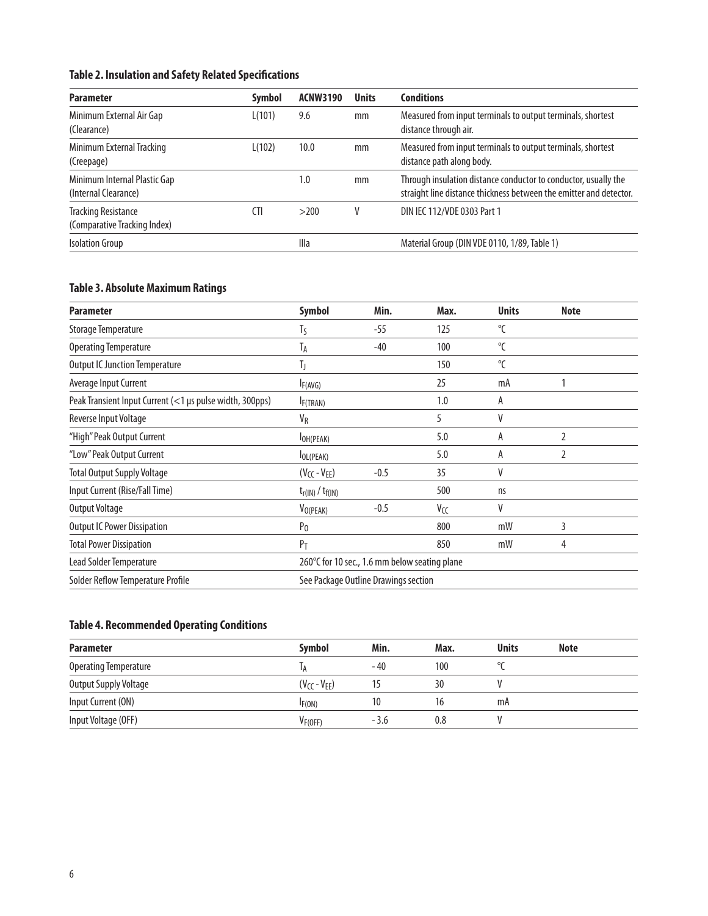## **Table 2. Insulation and Safety Related Specifications**

| <b>Parameter</b>                                           | <b>Symbol</b> | <b>ACNW3190</b> | <b>Units</b> | <b>Conditions</b>                                                                                                                     |
|------------------------------------------------------------|---------------|-----------------|--------------|---------------------------------------------------------------------------------------------------------------------------------------|
| Minimum External Air Gap<br>(Clearance)                    | L(101)        | 9.6             | mm           | Measured from input terminals to output terminals, shortest<br>distance through air.                                                  |
| Minimum External Tracking<br>(Creepage)                    | L(102)        | 10.0            | mm           | Measured from input terminals to output terminals, shortest<br>distance path along body.                                              |
| Minimum Internal Plastic Gap<br>(Internal Clearance)       |               | 1.0             | mm           | Through insulation distance conductor to conductor, usually the<br>straight line distance thickness between the emitter and detector. |
| <b>Tracking Resistance</b><br>(Comparative Tracking Index) | <b>CTI</b>    | >200            | v            | DIN IEC 112/VDE 0303 Part 1                                                                                                           |
| <b>Isolation Group</b>                                     |               | Illa            |              | Material Group (DIN VDE 0110, 1/89, Table 1)                                                                                          |

## **Table 3. Absolute Maximum Ratings**

| <b>Parameter</b>                                         | <b>Symbol</b>                                 | Min.   | Max. | <b>Units</b> | <b>Note</b> |  |
|----------------------------------------------------------|-----------------------------------------------|--------|------|--------------|-------------|--|
| Storage Temperature                                      | $T_S$                                         | $-55$  | 125  | $^{\circ}$ C |             |  |
| <b>Operating Temperature</b>                             | T <sub>A</sub>                                | $-40$  | 100  | $\mathrm{C}$ |             |  |
| <b>Output IC Junction Temperature</b>                    | TJ                                            |        | 150  | $\mathrm{C}$ |             |  |
| Average Input Current                                    | IF(AVG)                                       |        | 25   | mA           |             |  |
| Peak Transient Input Current (<1 µs pulse width, 300pps) | I <sub>F</sub> (TRAN)                         |        | 1.0  | A            |             |  |
| Reverse Input Voltage                                    | $V_R$                                         |        | 5    | V            |             |  |
| "High" Peak Output Current                               | OH(PEAK)                                      |        | 5.0  | A            | 2           |  |
| "Low" Peak Output Current                                | $I_{OL(PEAK)}$                                |        | 5.0  | A            | 2           |  |
| <b>Total Output Supply Voltage</b>                       | $(V_{CC} - V_{EE})$                           | $-0.5$ | 35   | V            |             |  |
| Input Current (Rise/Fall Time)                           | $t_{r(IN)}$ / $t_{f(IN)}$                     |        | 500  | ns           |             |  |
| Output Voltage                                           | V <sub>O(PEAK)</sub>                          | $-0.5$ | Vcc  | V            |             |  |
| <b>Output IC Power Dissipation</b>                       | P <sub>0</sub>                                |        | 800  | mW           | 3           |  |
| <b>Total Power Dissipation</b>                           | P <sub>T</sub>                                |        | 850  | mW           | 4           |  |
| Lead Solder Temperature                                  | 260°C for 10 sec., 1.6 mm below seating plane |        |      |              |             |  |
| Solder Reflow Temperature Profile                        | See Package Outline Drawings section          |        |      |              |             |  |

## **Table 4. Recommended Operating Conditions**

| <b>Parameter</b>             | <b>Symbol</b>        | Min.   | Max. | <b>Units</b> | <b>Note</b> |  |
|------------------------------|----------------------|--------|------|--------------|-------------|--|
| <b>Operating Temperature</b> |                      | - 40   | 100  |              |             |  |
| <b>Output Supply Voltage</b> | $(V_{CC} - V_{FF})$  | 15     | 30   |              |             |  |
| Input Current (ON)           | IF(ON)               | 10     |      | mA           |             |  |
| Input Voltage (OFF)          | V <sub>F</sub> (OFF) | $-3.6$ | 0.8  |              |             |  |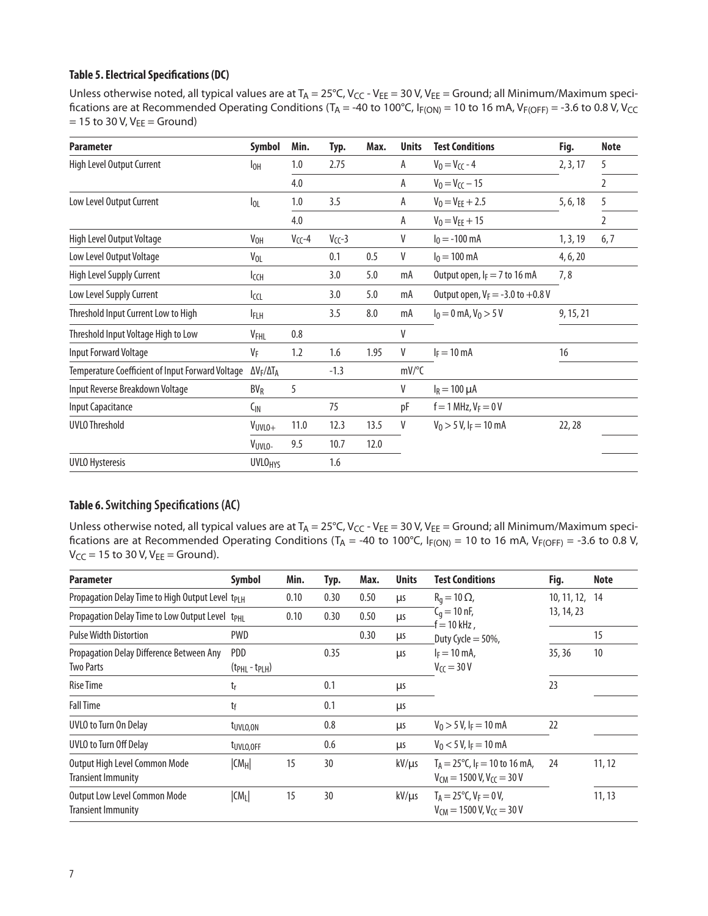## **Table 5. Electrical Specifications (DC)**

Unless otherwise noted, all typical values are at  $T_A = 25^{\circ}C$ , V<sub>CC</sub> - V<sub>EE</sub> = 30 V, V<sub>EE</sub> = Ground; all Minimum/Maximum specifications are at Recommended Operating Conditions ( $T_A = -40$  to 100°C,  $I_{F(ON)} = 10$  to 16 mA,  $V_{F(OFF)} = -3.6$  to 0.8 V, V<sub>CC</sub>  $= 15$  to 30 V, V<sub>EE</sub>  $=$  Ground)

| <b>Parameter</b>                                        | Symbol                           | Min.        | Typ.        | Max. | <b>Units</b>        | <b>Test Conditions</b>                 | Fig.     | <b>Note</b>    |
|---------------------------------------------------------|----------------------------------|-------------|-------------|------|---------------------|----------------------------------------|----------|----------------|
| High Level Output Current                               | $I_{OH}$                         | 1.0         | 2.75        |      | A                   | $V_0 = V_{CC} - 4$                     | 2, 3, 17 | 5              |
|                                                         |                                  | 4.0         |             |      | A                   | $V_0 = V_{CC} - 15$                    |          | $\overline{2}$ |
| Low Level Output Current                                | $I_{OL}$                         | $1.0\,$     | 3.5         |      | A                   | $V_0 = V_{EE} + 2.5$                   | 5, 6, 18 | 5              |
|                                                         |                                  | 4.0         |             |      | A                   | $V_0 = V_{EE} + 15$                    |          | $\overline{2}$ |
| High Level Output Voltage                               | V <sub>OH</sub>                  | $V_{CC}$ -4 | $V_{CC}$ -3 |      | V                   | $I_0 = -100$ mA                        | 1, 3, 19 | 6, 7           |
| Low Level Output Voltage                                | $V_{OL}$                         |             | 0.1         | 0.5  | V                   | $I_0 = 100 \text{ mA}$<br>4, 6, 20     |          |                |
| High Level Supply Current                               | Iссн                             |             | 3.0         | 5.0  | mA                  | 7,8<br>Output open, $I_F = 7$ to 16 mA |          |                |
| Low Level Supply Current                                | Iccl                             |             | 3.0         | 5.0  | mA                  | Output open, $V_F = -3.0$ to $+0.8$ V  |          |                |
| Threshold Input Current Low to High                     | <b>IFLH</b>                      |             | 3.5         | 8.0  | mA                  | $I_0 = 0$ mA, $V_0 > 5$ V<br>9, 15, 21 |          |                |
| Threshold Input Voltage High to Low                     | V <sub>FHL</sub>                 | 0.8         |             |      | V                   |                                        |          |                |
| Input Forward Voltage                                   | VF                               | 1.2         | 1.6         | 1.95 | V                   | $I_F = 10$ mA                          | 16       |                |
| <b>Temperature Coefficient of Input Forward Voltage</b> | ΔV <sub>F</sub> /ΔΤ <sub>Α</sub> |             | $-1.3$      |      | $mV$ <sup>o</sup> C |                                        |          |                |
| Input Reverse Breakdown Voltage                         | $BV_R$                           | 5           |             |      | V                   | $I_R = 100 \mu A$                      |          |                |
| <b>Input Capacitance</b>                                | $C_{\text{IN}}$                  |             | 75          |      | pF                  | $f = 1$ MHz, $V_F = 0$ V               |          |                |
| <b>UVLO Threshold</b>                                   | VUVLO+                           | 11.0        | 12.3        | 13.5 | V                   | $V_0 > 5 V$ , I <sub>F</sub> = 10 mA   | 22, 28   |                |
|                                                         | VUVLO-                           | 9.5         | 10.7        | 12.0 |                     |                                        |          |                |
| <b>UVLO Hysteresis</b>                                  | <b>UVLOHYS</b>                   |             | 1.6         |      |                     |                                        |          |                |

## **Table 6. Switching Specifications (AC)**

Unless otherwise noted, all typical values are at  $T_A = 25^{\circ}C$ , V<sub>CC</sub> - V<sub>EE</sub> = 30 V, V<sub>EE</sub> = Ground; all Minimum/Maximum specifications are at Recommended Operating Conditions (T<sub>A</sub> = -40 to 100°C, I<sub>F(ON)</sub> = 10 to 16 mA, V<sub>F(OFF)</sub> = -3.6 to 0.8 V,  $V_{CC} = 15$  to 30 V,  $V_{EE} =$  Ground).

| <b>Parameter</b>                                                 | Symbol                 | Min. | Typ. | Max. | <b>Units</b> | <b>Test Conditions</b>                                                                    | Fig.        | <b>Note</b> |
|------------------------------------------------------------------|------------------------|------|------|------|--------------|-------------------------------------------------------------------------------------------|-------------|-------------|
| Propagation Delay Time to High Output Level t <sub>PLH</sub>     |                        | 0.10 | 0.30 | 0.50 | <b>LIS</b>   | $R_q = 10 \Omega$                                                                         | 10, 11, 12, | 14          |
| Propagation Delay Time to Low Output Level t <sub>PHL</sub>      |                        | 0.10 | 0.30 | 0.50 | μs           | $C_{q} = 10$ nF,<br>-f = 10 kHz,                                                          | 13, 14, 23  |             |
| <b>Pulse Width Distortion</b>                                    | <b>PWD</b>             |      |      | 0.30 | μs           | Duty Cycle = $50\%$ ,                                                                     |             | 15          |
| Propagation Delay Difference Between Any<br><b>Two Parts</b>     | PDD<br>$(tPHL - tPLH)$ |      | 0.35 |      | <b>LIS</b>   | $I_F = 10$ mA,<br>$V_{\text{CC}} = 30 \text{ V}$                                          | 35,36       | 10          |
| <b>Rise Time</b>                                                 | tr                     |      | 0.1  |      | μs           |                                                                                           | 23          |             |
| <b>Fall Time</b>                                                 | tf                     |      | 0.1  |      | μs           |                                                                                           |             |             |
| <b>UVLO</b> to Turn On Delay                                     | t <sub>uvlo.on</sub>   |      | 0.8  |      | <b>LIS</b>   | $V_0 > 5 V$ , I <sub>F</sub> = 10 mA                                                      | 22          |             |
| <b>UVLO</b> to Turn Off Delay                                    | t <sub>uvlo.off</sub>  |      | 0.6  |      | <b>LIS</b>   | $V_0$ < 5 V, I <sub>F</sub> = 10 mA                                                       |             |             |
| Output High Level Common Mode<br><b>Transient Immunity</b>       | $ CM_H $               | 15   | 30   |      | $kV/\mu s$   | $T_A = 25^{\circ}$ C, I <sub>F</sub> = 10 to 16 mA,<br>$V_{CM} = 1500$ V, $V_{CC} = 30$ V | 24          | 11, 12      |
| <b>Output Low Level Common Mode</b><br><b>Transient Immunity</b> | $ CM_L $               | 15   | 30   |      | $kV/\mu s$   | $T_A = 25^{\circ}$ C, V <sub>F</sub> = 0 V,<br>$V_{CM} = 1500 V, V_{CC} = 30 V$           |             | 11, 13      |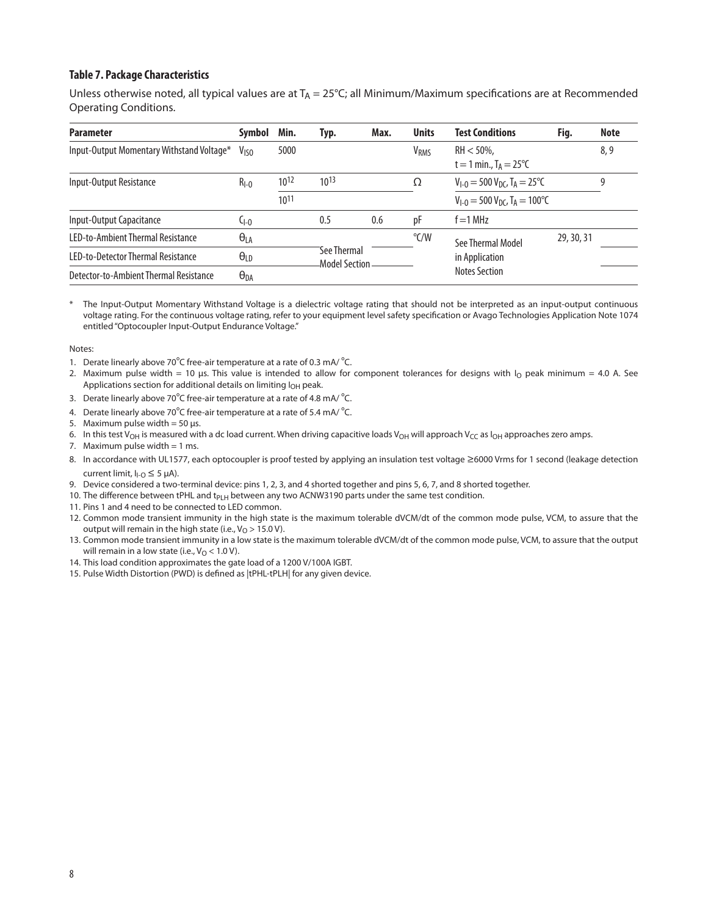#### **Table 7. Package Characteristics**

Unless otherwise noted, all typical values are at  $T_A = 25^{\circ}C$ ; all Minimum/Maximum specifications are at Recommended Operating Conditions.

| <b>Parameter</b>                          | <b>Symbol</b>    | Min.             | Typ.                            | Max. | <b>Units</b>           | <b>Test Conditions</b>                                        | Fig.       | <b>Note</b> |
|-------------------------------------------|------------------|------------------|---------------------------------|------|------------------------|---------------------------------------------------------------|------------|-------------|
| Input-Output Momentary Withstand Voltage* | V <sub>ISO</sub> | 5000             |                                 |      | <b>V<sub>RMS</sub></b> | $RH < 50\%$ ,<br>t = 1 min., $T_A = 25^{\circ}C$              |            | 8,9         |
| Input-Output Resistance                   | $R_{I-0}$        | 10 <sup>12</sup> | $10^{13}$                       |      | Ω                      | $V_{1-0}$ = 500 $V_{DC}$ , T <sub>A</sub> = 25 <sup>o</sup> C |            | 9           |
|                                           |                  | $10^{11}$        |                                 |      |                        | $V_{1-0} = 500 V_{DC}$ , T <sub>A</sub> = 100°C               |            |             |
| Input-Output Capacitance                  | $C_{1-0}$        |                  | 0.5                             | 0.6  | рF                     | $f = 1$ MHz                                                   |            |             |
| LED-to-Ambient Thermal Resistance         | $\Theta_{LA}$    |                  |                                 |      |                        | See Thermal Model                                             | 29, 30, 31 |             |
| LED-to-Detector Thermal Resistance        | $\theta_{LD}$    |                  | See Thermal<br>-Model Section - |      |                        | in Application                                                |            |             |
| Detector-to-Ambient Thermal Resistance    | $\Theta_{DA}$    |                  |                                 |      |                        | <b>Notes Section</b>                                          |            |             |

The Input-Output Momentary Withstand Voltage is a dielectric voltage rating that should not be interpreted as an input-output continuous voltage rating. For the continuous voltage rating, refer to your equipment level safety specification or Avago Technologies Application Note 1074 entitled "Optocoupler Input-Output Endurance Voltage."

#### Notes:

- 1. Derate linearly above 70 $^{\circ}$ C free-air temperature at a rate of 0.3 mA/ $^{\circ}$ C.
- 2. Maximum pulse width = 10 µs. This value is intended to allow for component tolerances for designs with  $I_0$  peak minimum = 4.0 A. See Applications section for additional details on limiting I<sub>OH</sub> peak.
- 3. Derate linearly above 70 $^{\circ}$ C free-air temperature at a rate of 4.8 mA/ $^{\circ}$ C.
- 4. Derate linearly above 70 $^{\circ}$ C free-air temperature at a rate of 5.4 mA/ $^{\circ}$ C.
- 5. Maximum pulse width =  $50 \mu s$ .
- 6. In this test V<sub>OH</sub> is measured with a dc load current. When driving capacitive loads V<sub>OH</sub> will approach V<sub>CC</sub> as  $I_{\text{OH}}$  approaches zero amps.
- 7. Maximum pulse width  $= 1$  ms.
- 8. In accordance with UL1577, each optocoupler is proof tested by applying an insulation test voltage ≥6000 Vrms for 1 second (leakage detection current limit,  $I_{I-O} \leq 5 \mu A$ ).
- 9. Device considered a two-terminal device: pins 1, 2, 3, and 4 shorted together and pins 5, 6, 7, and 8 shorted together.
- 10. The difference between tPHL and t<sub>PLH</sub> between any two ACNW3190 parts under the same test condition.
- 11. Pins 1 and 4 need to be connected to LED common.
- 12. Common mode transient immunity in the high state is the maximum tolerable dVCM/dt of the common mode pulse, VCM, to assure that the output will remain in the high state (i.e.,  $V_O > 15.0 V$ ).
- 13. Common mode transient immunity in a low state is the maximum tolerable dVCM/dt of the common mode pulse, VCM, to assure that the output will remain in a low state (i.e.,  $V_O$  < 1.0 V).
- 14. This load condition approximates the gate load of a 1200 V/100A IGBT.
- 15. Pulse Width Distortion (PWD) is defined as |tPHL-tPLH| for any given device.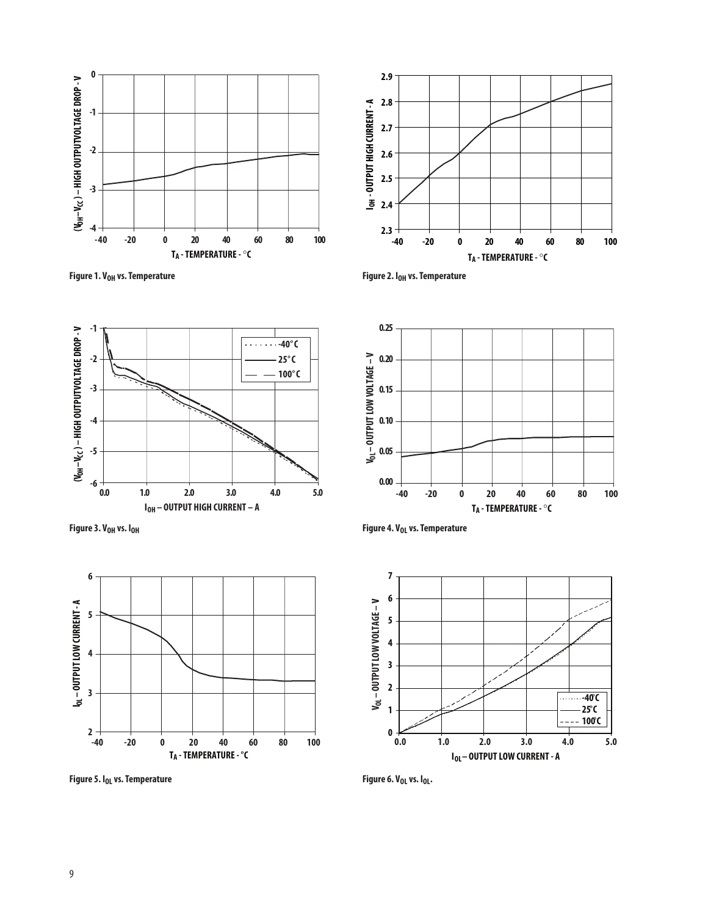







**0.25**



Figure 5. I<sub>OL</sub> vs. Temperature **Figure 6. V<sub>OL</sub>** vs. I<sub>OL</sub>.





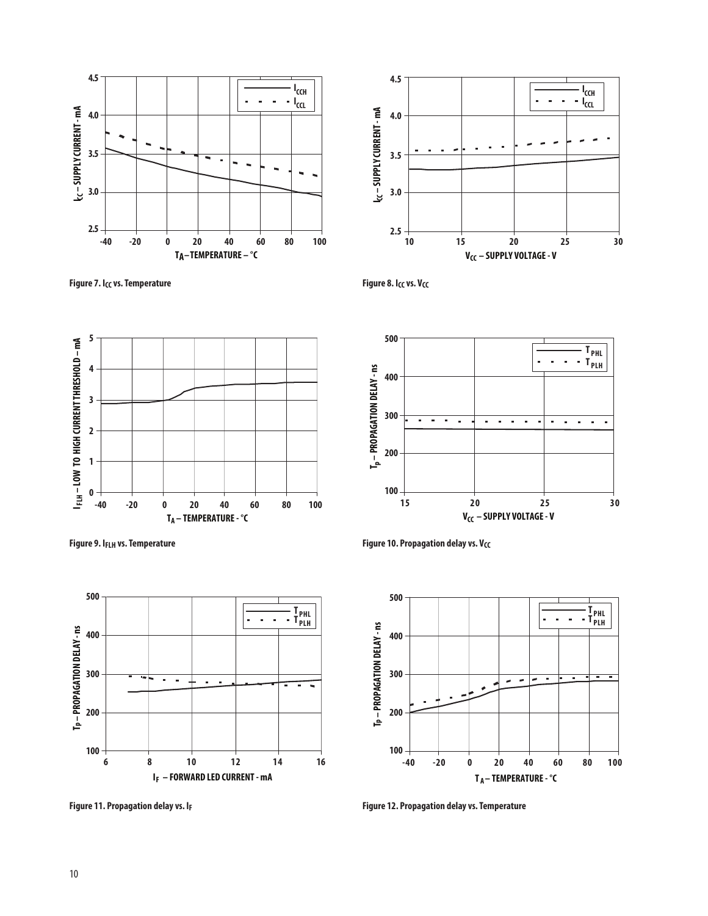

**Figure 7.** I<sub>CC</sub> vs. Temperature **Figure 8.** I<sub>CC</sub> vs. V<sub>CC</sub>









**Figure 9.** I<sub>FLH</sub> vs. Temperature **Figure 10. Propagation delay vs.** V<sub>CC</sub>



**Figure 11. Propagation delay vs. IF Figure 12. Propagation delay vs. Temperature**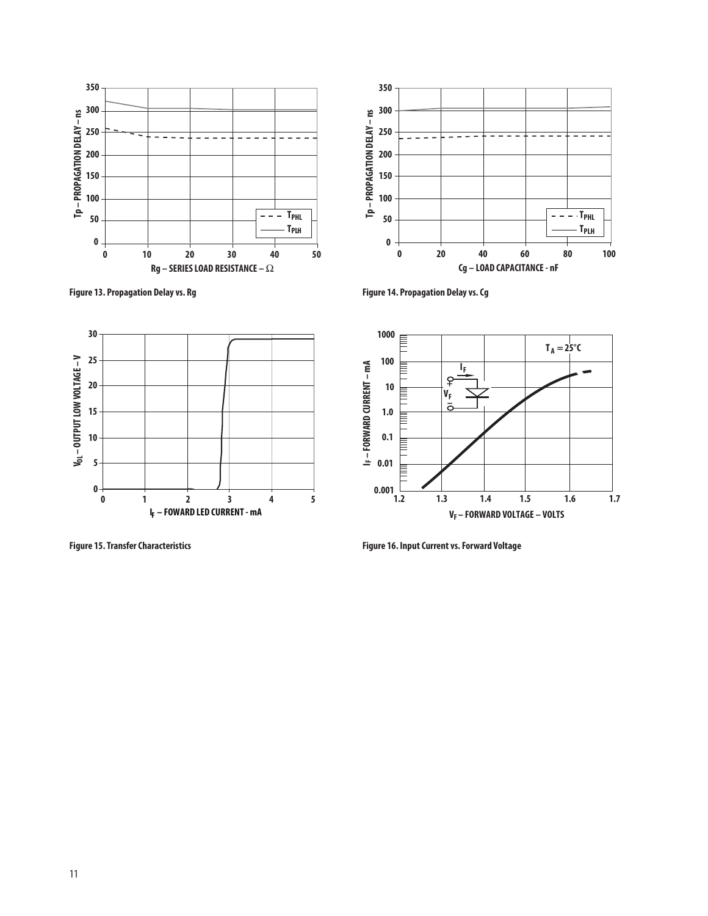



**Figure 13. Propagation Delay vs. Rg Figure 14. Propagation Delay vs. Cg**





**Figure 15. Transfer Characteristics Figure 16. Input Current vs. Forward Voltage**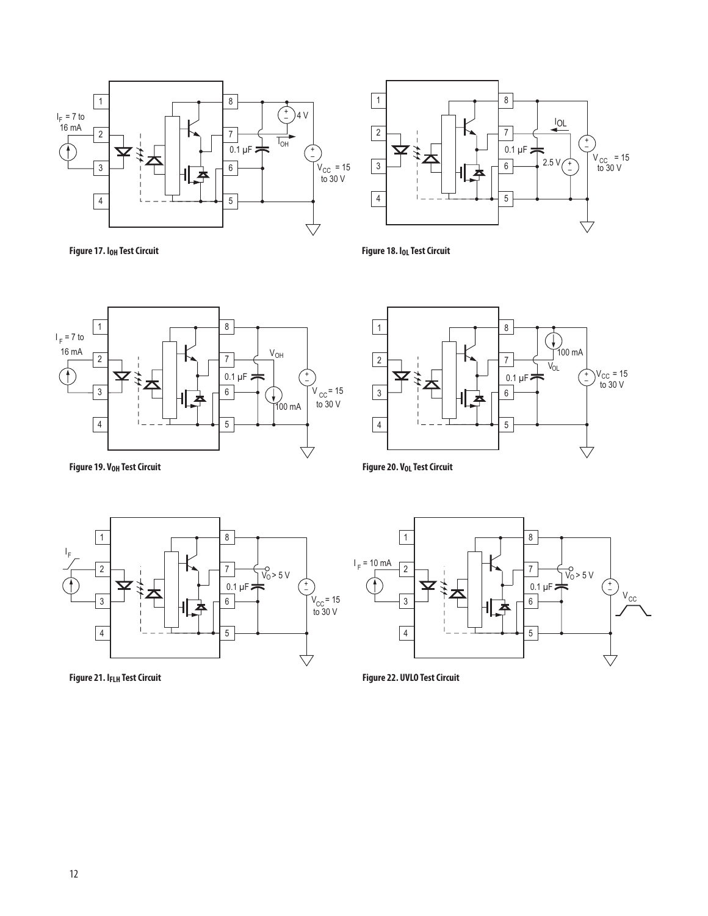

**Figure 17. I<sub>OH</sub> Test Circuit** 



Figure 18. I<sub>OL</sub> Test Circuit



1 8  $\bigoplus$ <br>100 mA 2 7 **V<sub>OL</sub>**  $0.1 \,\mu$ F $\leftarrow$   $\left(\begin{array}{cc} + \ 0.0000 & 0.0000 \\ - \ 0.0000 & 0.0000 \end{array}\right)$ + – 3 6 5 4  $\forall$ 

**Figure 20. V<sub>OL</sub> Test Circuit** 

**Figure 19. V<sub>OH</sub> Test Circuit** 





**Figure 21. IFLH Test Circuit Figure 22. UVLO Test Circuit**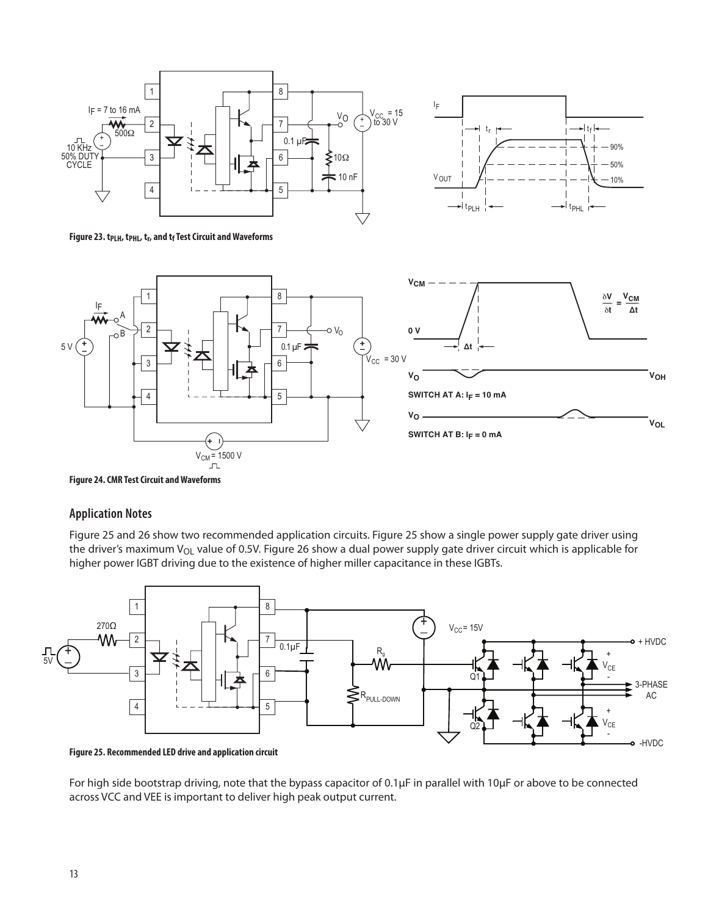



Figure 23. t<sub>PLH</sub>, t<sub>PHL</sub>, t<sub>r</sub>, and t<sub>f</sub> Test Circuit and Waveforms



**Figure 24. CMR Test Circuit and Waveforms**

### **Application Notes**

Figure 25 and 26 show two recommended application circuits. Figure 25 show a single power supply gate driver using the driver's maximum  $V_{OL}$  value of 0.5V. Figure 26 show a dual power supply gate driver circuit which is applicable for higher power IGBT driving due to the existence of higher miller capacitance in these IGBTs.



**Figure 25. Recommended LED drive and application circuit**

For high side bootstrap driving, note that the bypass capacitor of 0.1µF in parallel with 10µF or above to be connected across VCC and VEE is important to deliver high peak output current.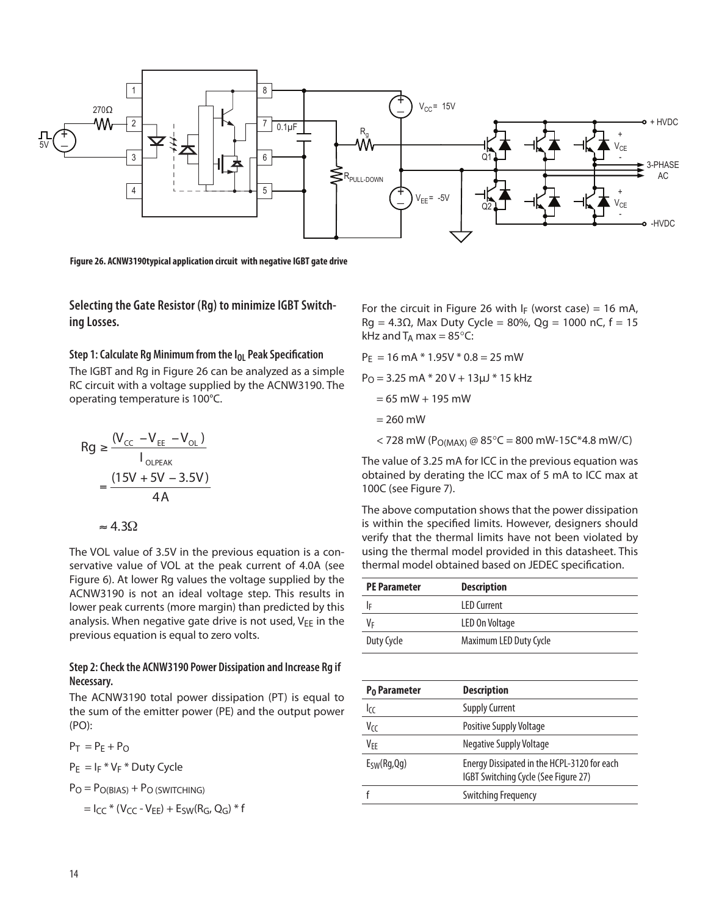

**Figure 26. ACNW3190typical application circuit with negative IGBT gate drive** 

**Selecting the Gate Resistor (Rg) to minimize IGBT Switching Losses.**

#### **Step 1: Calculate Rg Minimum from the I<sub>OL</sub> Peak Specification**

The IGBT and Rg in Figure 26 can be analyzed as a simple RC circuit with a voltage supplied by the ACNW3190. The operating temperature is 100°C.

$$
Rg \ge \frac{(V_{cc} - V_{EE} - V_{OL})}{I_{OLPEAK}}
$$
  
= 
$$
\frac{(15V + 5V - 3.5V)}{4A}
$$

 $\approx 4.3\Omega$ 

The VOL value of 3.5V in the previous equation is a conservative value of VOL at the peak current of 4.0A (see Figure 6). At lower Rg values the voltage supplied by the ACNW3190 is not an ideal voltage step. This results in lower peak currents (more margin) than predicted by this analysis. When negative gate drive is not used,  $V_{EE}$  in the previous equation is equal to zero volts.

#### **Step 2: Check the ACNW3190 Power Dissipation and Increase Rg if Necessary.**

The ACNW3190 total power dissipation (PT) is equal to the sum of the emitter power (PE) and the output power (PO):

 $P_T = P_E + P_O$ 

 $P_E = I_F * V_F * Duty$  Cycle

 $P_O = P_{O(B|AS)} + P_{O(SWITCHING)}$ 

$$
= I_{CC} * (V_{CC} - V_{EE}) + E_{SW}(R_G, Q_G) * f
$$

For the circuit in Figure 26 with  $I_F$  (worst case) = 16 mA,  $Rg = 4.3Ω$ , Max Duty Cycle = 80%, Qg = 1000 nC, f = 15 kHz and  $T_A$  max = 85 $\degree$ C:

 $P_E = 16$  mA  $*$  1.95V  $*$  0.8 = 25 mW

 $P<sub>O</sub> = 3.25$  mA  $*$  20 V + 13 $\mu$ J  $*$  15 kHz

- $= 65$  mW + 195 mW
- $= 260$  mW
- $<$  728 mW (P<sub>O(MAX)</sub> @ 85°C = 800 mW-15C\*4.8 mW/C)

The value of 3.25 mA for ICC in the previous equation was obtained by derating the ICC max of 5 mA to ICC max at 100C (see Figure 7).

The above computation shows that the power dissipation is within the specified limits. However, designers should verify that the thermal limits have not been violated by using the thermal model provided in this datasheet. This thermal model obtained based on JEDEC specification.

| <b>PE Parameter</b> | <b>Description</b>     |
|---------------------|------------------------|
|                     | <b>LED Current</b>     |
| Vf                  | LED On Voltage         |
| Duty Cycle          | Maximum LED Duty Cycle |

| <b>Description</b>                                                                  |
|-------------------------------------------------------------------------------------|
| <b>Supply Current</b>                                                               |
| <b>Positive Supply Voltage</b>                                                      |
| Negative Supply Voltage                                                             |
| Energy Dissipated in the HCPL-3120 for each<br>IGBT Switching Cycle (See Figure 27) |
| <b>Switching Frequency</b>                                                          |
|                                                                                     |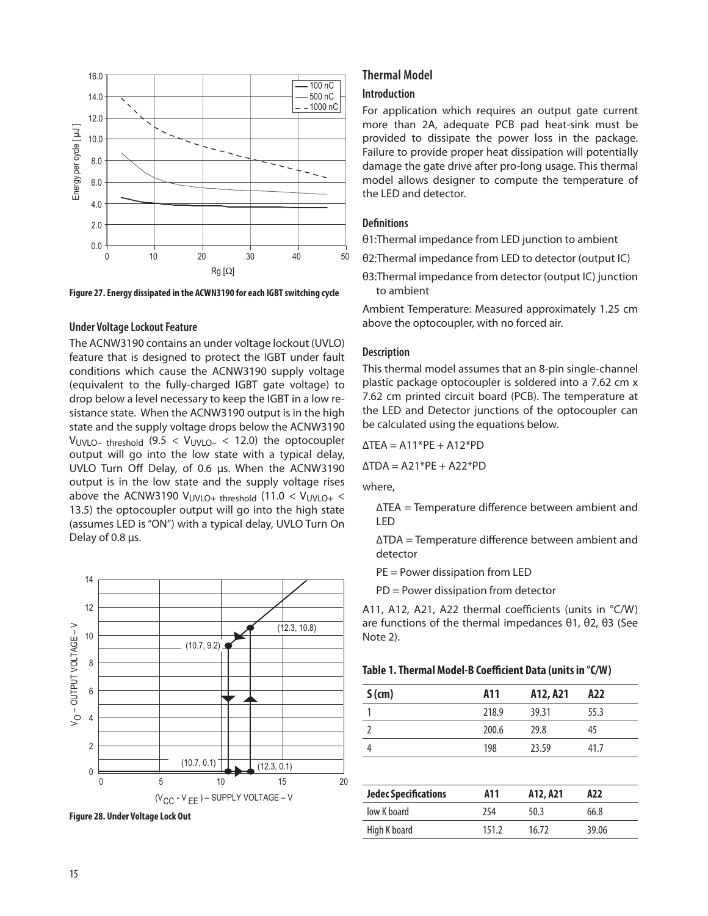



#### **Under Voltage Lockout Feature**

The ACNW3190 contains an under voltage lockout (UVLO) feature that is designed to protect the IGBT under fault conditions which cause the ACNW3190 supply voltage (equivalent to the fully-charged IGBT gate voltage) to drop below a level necessary to keep the IGBT in a low resistance state. When the ACNW3190 output is in the high state and the supply voltage drops below the ACNW3190 VUVLO– threshold  $(9.5 < V_{UVLO-} < 12.0)$  the optocoupler output will go into the low state with a typical delay, UVLO Turn Off Delay, of 0.6 μs. When the ACNW3190 output is in the low state and the supply voltage rises above the ACNW3190  $V_{UVLO+}$  threshold (11.0 <  $V_{UVLO+}$  < 13.5) the optocoupler output will go into the high state (assumes LED is "ON") with a typical delay, UVLO Turn On Delay of 0.8 μs.



**Figure 28. Under Voltage Lock Out**

#### **Thermal Model**

#### **Introduction**

For application which requires an output gate current more than 2A, adequate PCB pad heat-sink must be provided to dissipate the power loss in the package. Failure to provide proper heat dissipation will potentially damage the gate drive after pro-long usage. This thermal model allows designer to compute the temperature of the LED and detector.

#### **Definitions**

θ1:Thermal impedance from LED junction to ambient

- θ2:Thermal impedance from LED to detector (output IC)
- θ3:Thermal impedance from detector (output IC) junction to ambient

Ambient Temperature: Measured approximately 1.25 cm above the optocoupler, with no forced air.

#### **Description**

This thermal model assumes that an 8-pin single-channel plastic package optocoupler is soldered into a 7.62 cm x 7.62 cm printed circuit board (PCB). The temperature at the LED and Detector junctions of the optocoupler can be calculated using the equations below.

$$
\Delta TEA = A11*PE + A12*PD
$$

 $\triangle TDA = A21*PE + A22*PD$ 

where,

∆TEA = Temperature difference between ambient and LED

∆TDA = Temperature difference between ambient and detector

- PE = Power dissipation from LED
- PD = Power dissipation from detector

A11, A12, A21, A22 thermal coefficients (units in °C/W) are functions of the thermal impedances θ1, θ2, θ3 (See Note 2).

| Table 1. Thermal Model-B Coefficient Data (units in °C/W) |  |  |
|-----------------------------------------------------------|--|--|
|-----------------------------------------------------------|--|--|

| $S$ (cm) | A11   | A12, A21 | A22  |
|----------|-------|----------|------|
|          | 218.9 | 39.31    | 55.3 |
|          | 200.6 | 29.8     | 45   |
|          | 198   | 23.59    | 41.7 |

| <b>Jedec Specifications</b> | A11   | A12, A21 | A22   |
|-----------------------------|-------|----------|-------|
| low K board                 | 254   | 50 3     | 66.8  |
| High K board                | 151.2 | 16 72    | 39.06 |